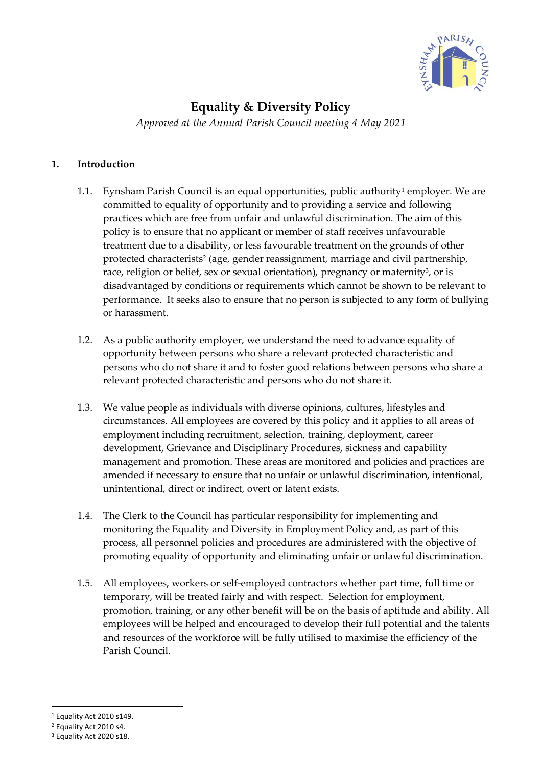

# **Equality & Diversity Policy**

*Approved at the Annual Parish Council meeting 4 May 2021*

# **1. Introduction**

- 1.1. Eynsham Parish Council is an equal opportunities, public authority<sup>1</sup> employer. We are committed to equality of opportunity and to providing a service and following practices which are free from unfair and unlawful discrimination. The aim of this policy is to ensure that no applicant or member of staff receives unfavourable treatment due to a disability, or less favourable treatment on the grounds of other protected characterists<sup>2</sup> (age, gender reassignment, marriage and civil partnership, race, religion or belief, sex or sexual orientation), pregnancy or maternity<sup>3</sup>, or is disadvantaged by conditions or requirements which cannot be shown to be relevant to performance. It seeks also to ensure that no person is subjected to any form of bullying or harassment.
- 1.2. As a public authority employer, we understand the need to advance equality of opportunity between persons who share a relevant protected characteristic and persons who do not share it and to foster good relations between persons who share a relevant protected characteristic and persons who do not share it.
- 1.3. We value people as individuals with diverse opinions, cultures, lifestyles and circumstances. All employees are covered by this policy and it applies to all areas of employment including recruitment, selection, training, deployment, career development, Grievance and Disciplinary Procedures, sickness and capability management and promotion. These areas are monitored and policies and practices are amended if necessary to ensure that no unfair or unlawful discrimination, intentional, unintentional, direct or indirect, overt or latent exists.
- 1.4. The Clerk to the Council has particular responsibility for implementing and monitoring the Equality and Diversity in Employment Policy and, as part of this process, all personnel policies and procedures are administered with the objective of promoting equality of opportunity and eliminating unfair or unlawful discrimination.
- 1.5. All employees, workers or self-employed contractors whether part time, full time or temporary, will be treated fairly and with respect. Selection for employment, promotion, training, or any other benefit will be on the basis of aptitude and ability. All employees will be helped and encouraged to develop their full potential and the talents and resources of the workforce will be fully utilised to maximise the efficiency of the Parish Council.

<sup>1</sup> Equality Act 2010 s149.

<sup>2</sup> Equality Act 2010 s4.

<sup>3</sup> Equality Act 2020 s18.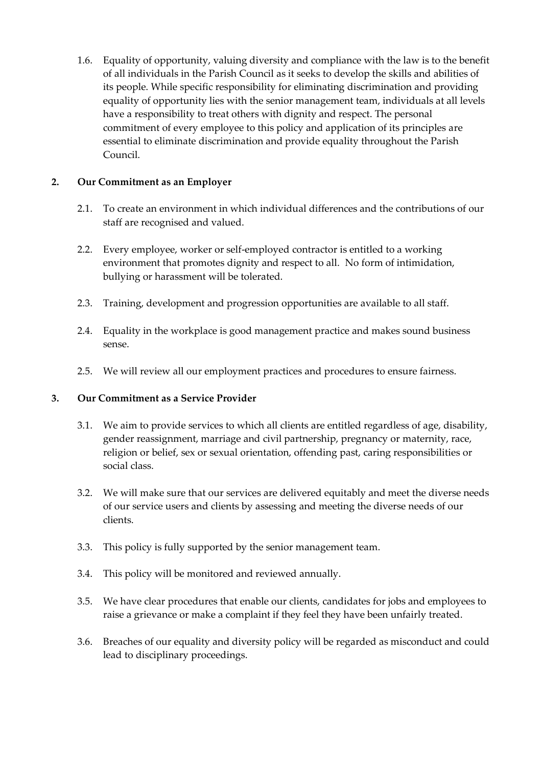1.6. Equality of opportunity, valuing diversity and compliance with the law is to the benefit of all individuals in the Parish Council as it seeks to develop the skills and abilities of its people. While specific responsibility for eliminating discrimination and providing equality of opportunity lies with the senior management team, individuals at all levels have a responsibility to treat others with dignity and respect. The personal commitment of every employee to this policy and application of its principles are essential to eliminate discrimination and provide equality throughout the Parish Council.

#### **2. Our Commitment as an Employer**

- 2.1. To create an environment in which individual differences and the contributions of our staff are recognised and valued.
- 2.2. Every employee, worker or self-employed contractor is entitled to a working environment that promotes dignity and respect to all. No form of intimidation, bullying or harassment will be tolerated.
- 2.3. Training, development and progression opportunities are available to all staff.
- 2.4. Equality in the workplace is good management practice and makes sound business sense.
- 2.5. We will review all our employment practices and procedures to ensure fairness.

#### **3. Our Commitment as a Service Provider**

- 3.1. We aim to provide services to which all clients are entitled regardless of age, disability, gender reassignment, marriage and civil partnership, pregnancy or maternity, race, religion or belief, sex or sexual orientation, offending past, caring responsibilities or social class.
- 3.2. We will make sure that our services are delivered equitably and meet the diverse needs of our service users and clients by assessing and meeting the diverse needs of our clients.
- 3.3. This policy is fully supported by the senior management team.
- 3.4. This policy will be monitored and reviewed annually.
- 3.5. We have clear procedures that enable our clients, candidates for jobs and employees to raise a grievance or make a complaint if they feel they have been unfairly treated.
- 3.6. Breaches of our equality and diversity policy will be regarded as misconduct and could lead to disciplinary proceedings.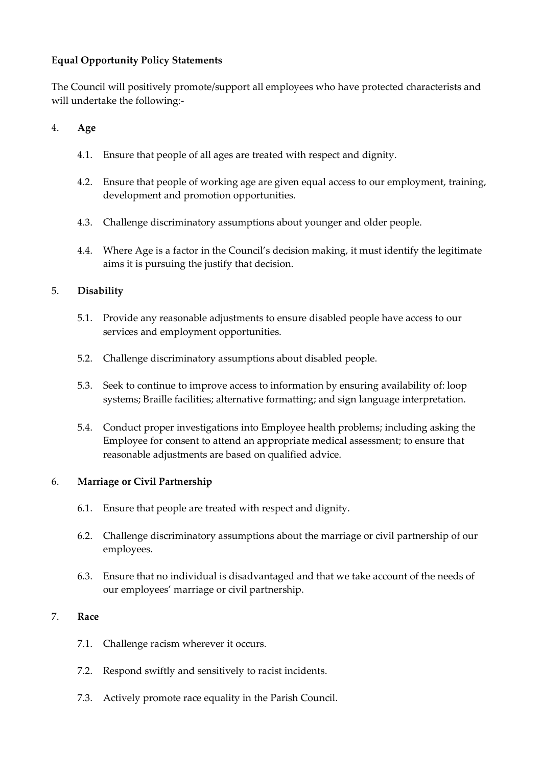## **Equal Opportunity Policy Statements**

The Council will positively promote/support all employees who have protected characterists and will undertake the following:-

## 4. **Age**

- 4.1. Ensure that people of all ages are treated with respect and dignity.
- 4.2. Ensure that people of working age are given equal access to our employment, training, development and promotion opportunities.
- 4.3. Challenge discriminatory assumptions about younger and older people.
- 4.4. Where Age is a factor in the Council's decision making, it must identify the legitimate aims it is pursuing the justify that decision.

# 5. **Disability**

- 5.1. Provide any reasonable adjustments to ensure disabled people have access to our services and employment opportunities.
- 5.2. Challenge discriminatory assumptions about disabled people.
- 5.3. Seek to continue to improve access to information by ensuring availability of: loop systems; Braille facilities; alternative formatting; and sign language interpretation.
- 5.4. Conduct proper investigations into Employee health problems; including asking the Employee for consent to attend an appropriate medical assessment; to ensure that reasonable adjustments are based on qualified advice.

## 6. **Marriage or Civil Partnership**

- 6.1. Ensure that people are treated with respect and dignity.
- 6.2. Challenge discriminatory assumptions about the marriage or civil partnership of our employees.
- 6.3. Ensure that no individual is disadvantaged and that we take account of the needs of our employees' marriage or civil partnership.

## 7. **Race**

- 7.1. Challenge racism wherever it occurs.
- 7.2. Respond swiftly and sensitively to racist incidents.
- 7.3. Actively promote race equality in the Parish Council.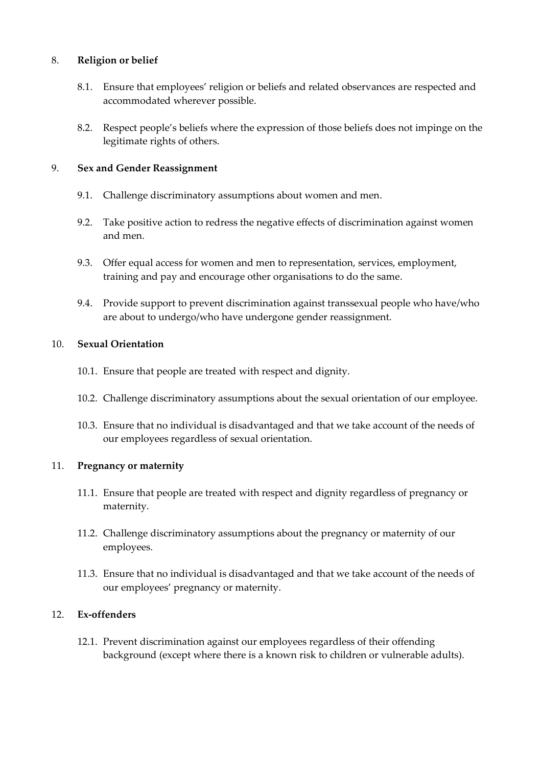#### 8. **Religion or belief**

- 8.1. Ensure that employees' religion or beliefs and related observances are respected and accommodated wherever possible.
- 8.2. Respect people's beliefs where the expression of those beliefs does not impinge on the legitimate rights of others.

#### 9. **Sex and Gender Reassignment**

- 9.1. Challenge discriminatory assumptions about women and men.
- 9.2. Take positive action to redress the negative effects of discrimination against women and men.
- 9.3. Offer equal access for women and men to representation, services, employment, training and pay and encourage other organisations to do the same.
- 9.4. Provide support to prevent discrimination against transsexual people who have/who are about to undergo/who have undergone gender reassignment.

#### 10. **Sexual Orientation**

- 10.1. Ensure that people are treated with respect and dignity.
- 10.2. Challenge discriminatory assumptions about the sexual orientation of our employee.
- 10.3. Ensure that no individual is disadvantaged and that we take account of the needs of our employees regardless of sexual orientation.

## 11. **Pregnancy or maternity**

- 11.1. Ensure that people are treated with respect and dignity regardless of pregnancy or maternity.
- 11.2. Challenge discriminatory assumptions about the pregnancy or maternity of our employees.
- 11.3. Ensure that no individual is disadvantaged and that we take account of the needs of our employees' pregnancy or maternity.

## 12. **Ex-offenders**

12.1. Prevent discrimination against our employees regardless of their offending background (except where there is a known risk to children or vulnerable adults).